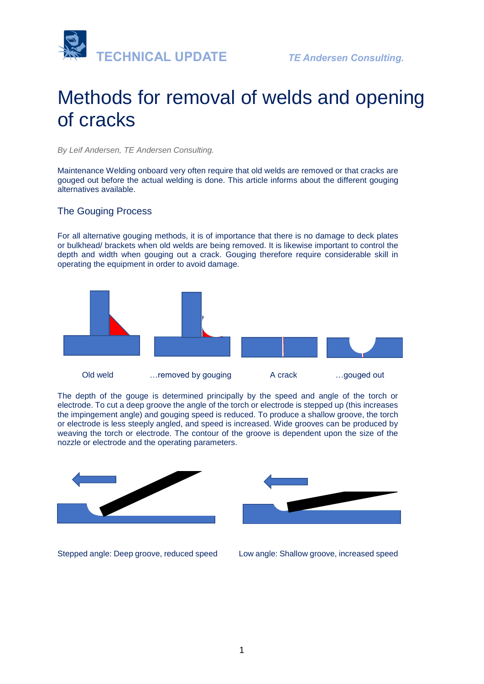

# Methods for removal of welds and opening of cracks

*By Leif Andersen, TE Andersen Consulting.* 

Maintenance Welding onboard very often require that old welds are removed or that cracks are gouged out before the actual welding is done. This article informs about the different gouging alternatives available.

# The Gouging Process

For all alternative gouging methods, it is of importance that there is no damage to deck plates or bulkhead/ brackets when old welds are being removed. It is likewise important to control the depth and width when gouging out a crack. Gouging therefore require considerable skill in operating the equipment in order to avoid damage.



The depth of the gouge is determined principally by the speed and angle of the torch or electrode. To cut a deep groove the angle of the torch or electrode is stepped up (this increases the impingement angle) and gouging speed is reduced. To produce a shallow groove, the torch or electrode is less steeply angled, and speed is increased. Wide grooves can be produced by weaving the torch or electrode. The contour of the groove is dependent upon the size of the nozzle or electrode and the operating parameters.



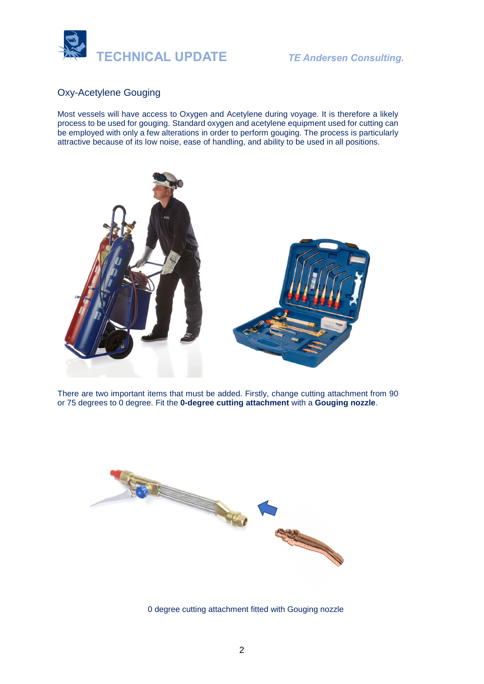

# Oxy-Acetylene Gouging

Most vessels will have access to Oxygen and Acetylene during voyage. It is therefore a likely process to be used for gouging. Standard oxygen and acetylene equipment used for cutting can be employed with only a few alterations in order to perform gouging. The process is particularly attractive because of its low noise, ease of handling, and ability to be used in all positions.



There are two important items that must be added. Firstly, change cutting attachment from 90 or 75 degrees to 0 degree. Fit the **0-degree cutting attachment** with a **Gouging nozzle**.



0 degree cutting attachment fitted with Gouging nozzle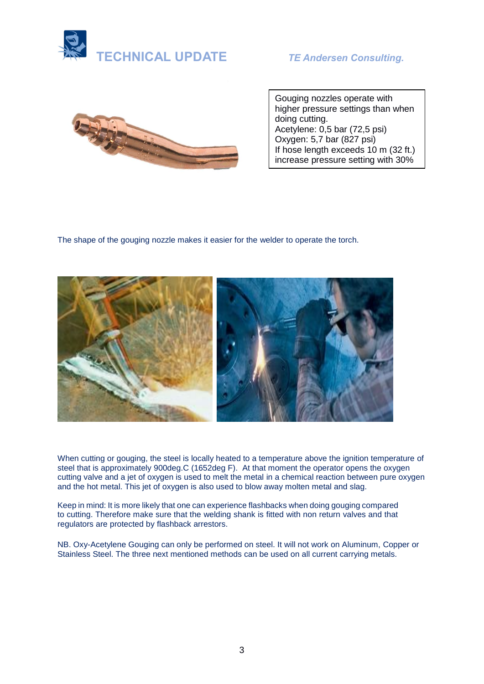



Gouging nozzles operate with higher pressure settings than when doing cutting. Acetylene: 0,5 bar (72,5 psi) Oxygen: 5,7 bar (827 psi) If hose length exceeds 10 m (32 ft.) increase pressure setting with 30%

The shape of the gouging nozzle makes it easier for the welder to operate the torch.



When cutting or gouging, the steel is locally heated to a temperature above the ignition temperature of steel that is approximately 900deg.C (1652deg F). At that moment the operator opens the oxygen cutting valve and a jet of oxygen is used to melt the metal in a chemical reaction between pure oxygen and the hot metal. This jet of oxygen is also used to blow away molten metal and slag.

Keep in mind: It is more likely that one can experience flashbacks when doing gouging compared to cutting. Therefore make sure that the welding shank is fitted with non return valves and that regulators are protected by flashback arrestors.

NB. Oxy-Acetylene Gouging can only be performed on steel. It will not work on Aluminum, Copper or Stainless Steel. The three next mentioned methods can be used on all current carrying metals.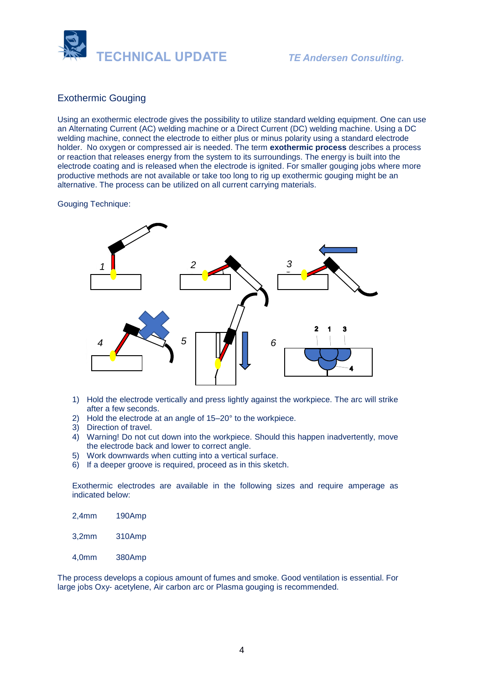

# Exothermic Gouging

Using an exothermic electrode gives the possibility to utilize standard welding equipment. One can use an Alternating Current (AC) welding machine or a Direct Current (DC) welding machine. Using a DC welding machine, connect the electrode to either plus or minus polarity using a standard electrode holder. No oxygen or compressed air is needed. The term **exothermic process** describes a process or reaction that releases [energy](https://en.wikipedia.org/wiki/Energy) from the system to its surroundings. The energy is built into the electrode coating and is released when the electrode is ignited. For smaller gouging jobs where more productive methods are not available or take too long to rig up exothermic gouging might be an alternative. The process can be utilized on all current carrying materials.

#### Gouging Technique:



- 1) Hold the electrode vertically and press lightly against the workpiece. The arc will strike after a few seconds.
- 2) Hold the electrode at an angle of 15–20° to the workpiece.
- 3) Direction of travel.
- 4) Warning! Do not cut down into the workpiece. Should this happen inadvertently, move the electrode back and lower to correct angle.
- 5) Work downwards when cutting into a vertical surface.
- 6) If a deeper groove is required, proceed as in this sketch.

Exothermic electrodes are available in the following sizes and require amperage as indicated below:

- 2,4mm 190Amp
- 3,2mm 310Amp
- 4,0mm 380Amp

The process develops a copious amount of fumes and smoke. Good ventilation is essential. For large jobs Oxy- acetylene, Air carbon arc or Plasma gouging is recommended.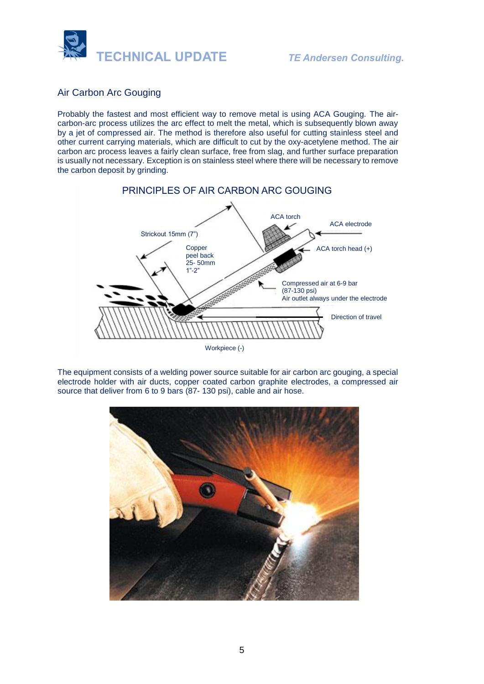

# Air Carbon Arc Gouging

Probably the fastest and most efficient way to remove metal is using ACA Gouging. The aircarbon-arc process utilizes the arc effect to melt the metal, which is subsequently blown away by a jet of compressed air. The method is therefore also useful for cutting stainless steel and other current carrying materials, which are difficult to cut by the oxy-acetylene method. The air carbon arc process leaves a fairly clean surface, free from slag, and further surface preparation is usually not necessary. Exception is on stainless steel where there will be necessary to remove the carbon deposit by grinding.



The equipment consists of a welding power source suitable for air carbon arc gouging, a special electrode holder with air ducts, copper coated carbon graphite electrodes, a compressed air source that deliver from 6 to 9 bars (87- 130 psi), cable and air hose.

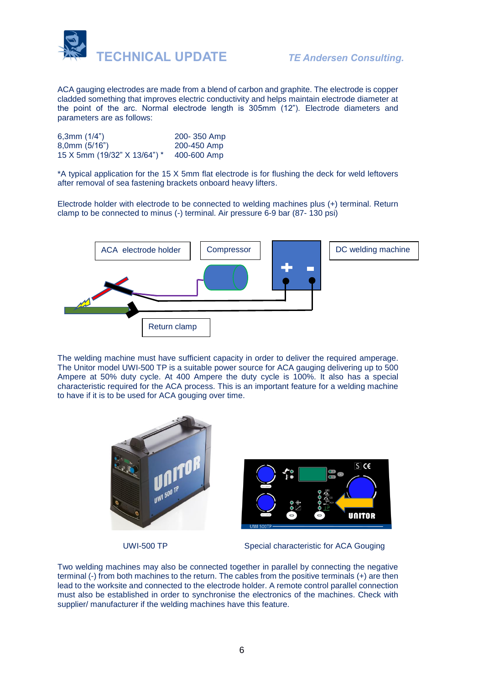

ACA gauging electrodes are made from a blend of carbon and graphite. The electrode is copper cladded something that improves electric conductivity and helps maintain electrode diameter at the point of the arc. Normal electrode length is 305mm (12"). Electrode diameters and parameters are as follows:

| 6,3mm $(1/4")$               | 200-350 Amp |
|------------------------------|-------------|
| $8,0$ mm $(5/16")$           | 200-450 Amp |
| 15 X 5mm (19/32" X 13/64") * | 400-600 Amp |

\*A typical application for the 15 X 5mm flat electrode is for flushing the deck for weld leftovers after removal of sea fastening brackets onboard heavy lifters.

Electrode holder with electrode to be connected to welding machines plus (+) terminal. Return clamp to be connected to minus (-) terminal. Air pressure 6-9 bar (87- 130 psi)



The welding machine must have sufficient capacity in order to deliver the required amperage. The Unitor model UWI-500 TP is a suitable power source for ACA gauging delivering up to 500 Ampere at 50% duty cycle. At 400 Ampere the duty cycle is 100%. It also has a special characteristic required for the ACA process. This is an important feature for a welding machine to have if it is to be used for ACA gouging over time.



UWI-500 TP Special characteristic for ACA Gouging

Two welding machines may also be connected together in parallel by connecting the negative terminal (-) from both machines to the return. The cables from the positive terminals (+) are then lead to the worksite and connected to the electrode holder. A remote control parallel connection must also be established in order to synchronise the electronics of the machines. Check with supplier/ manufacturer if the welding machines have this feature.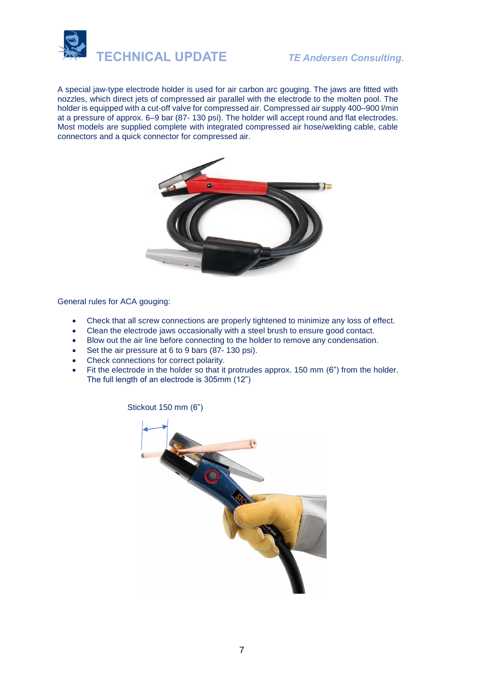

A special jaw-type electrode holder is used for air carbon arc gouging. The jaws are fitted with nozzles, which direct jets of compressed air parallel with the electrode to the molten pool. The holder is equipped with a cut-off valve for compressed air. Compressed air supply 400–900 l/min at a pressure of approx. 6–9 bar (87- 130 psi). The holder will accept round and flat electrodes. Most models are supplied complete with integrated compressed air hose/welding cable, cable connectors and a quick connector for compressed air.



General rules for ACA gouging:

- Check that all screw connections are properly tightened to minimize any loss of effect.
- Clean the electrode jaws occasionally with a steel brush to ensure good contact.
- Blow out the air line before connecting to the holder to remove any condensation.
- Set the air pressure at 6 to 9 bars (87-130 psi).
- Check connections for correct polarity.
- Fit the electrode in the holder so that it protrudes approx. 150 mm (6") from the holder. The full length of an electrode is 305mm (12")

Stickout 150 mm (6")

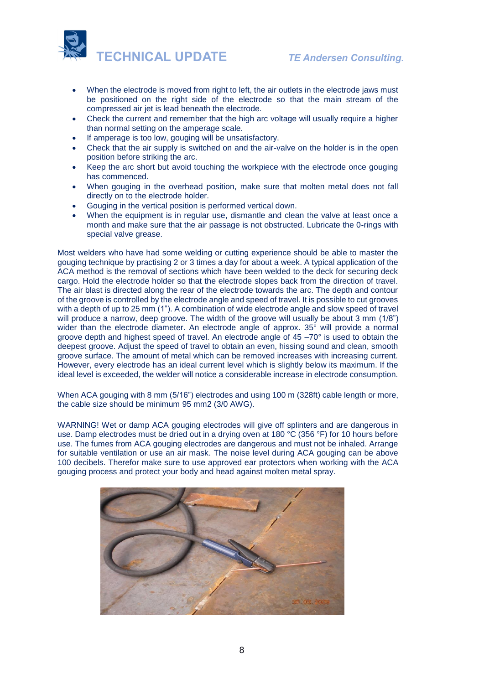

- When the electrode is moved from right to left, the air outlets in the electrode jaws must be positioned on the right side of the electrode so that the main stream of the compressed air jet is lead beneath the electrode.
- Check the current and remember that the high arc voltage will usually require a higher than normal setting on the amperage scale.
- If amperage is too low, gouging will be unsatisfactory.
- Check that the air supply is switched on and the air-valve on the holder is in the open position before striking the arc.
- Keep the arc short but avoid touching the workpiece with the electrode once gouging has commenced.
- When gouging in the overhead position, make sure that molten metal does not fall directly on to the electrode holder.
- Gouging in the vertical position is performed vertical down.
- When the equipment is in regular use, dismantle and clean the valve at least once a month and make sure that the air passage is not obstructed. Lubricate the 0-rings with special valve grease.

Most welders who have had some welding or cutting experience should be able to master the gouging technique by practising 2 or 3 times a day for about a week. A typical application of the ACA method is the removal of sections which have been welded to the deck for securing deck cargo. Hold the electrode holder so that the electrode slopes back from the direction of travel. The air blast is directed along the rear of the electrode towards the arc. The depth and contour of the groove is controlled by the electrode angle and speed of travel. It is possible to cut grooves with a depth of up to 25 mm (1"). A combination of wide electrode angle and slow speed of travel will produce a narrow, deep groove. The width of the groove will usually be about 3 mm (1/8") wider than the electrode diameter. An electrode angle of approx. 35° will provide a normal groove depth and highest speed of travel. An electrode angle of 45 –70° is used to obtain the deepest groove. Adjust the speed of travel to obtain an even, hissing sound and clean, smooth groove surface. The amount of metal which can be removed increases with increasing current. However, every electrode has an ideal current level which is slightly below its maximum. If the ideal level is exceeded, the welder will notice a considerable increase in electrode consumption.

When ACA gouging with 8 mm (5/16") electrodes and using 100 m (328ft) cable length or more, the cable size should be minimum 95 mm2 (3/0 AWG).

WARNING! Wet or damp ACA gouging electrodes will give off splinters and are dangerous in use. Damp electrodes must be dried out in a drying oven at 180 °C (356 °F) for 10 hours before use. The fumes from ACA gouging electrodes are dangerous and must not be inhaled. Arrange for suitable ventilation or use an air mask. The noise level during ACA gouging can be above 100 decibels. Therefor make sure to use approved ear protectors when working with the ACA gouging process and protect your body and head against molten metal spray.

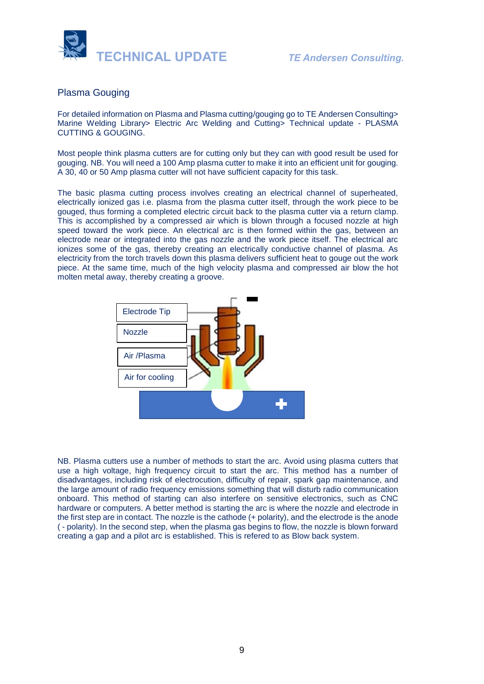

### Plasma Gouging

For detailed information on Plasma and Plasma cutting/gouging go to TE Andersen Consulting> Marine Welding Library> Electric Arc Welding and Cutting> Technical update - PLASMA CUTTING & GOUGING.

Most people think plasma cutters are for cutting only but they can with good result be used for gouging. NB. You will need a 100 Amp plasma cutter to make it into an efficient unit for gouging. A 30, 40 or 50 Amp plasma cutter will not have sufficient capacity for this task.

The basic plasma cutting process involves creating an electrical channel of superheated, electrically ionized gas i.e. [plasma](https://en.wikipedia.org/wiki/Plasma_(physics)) from the plasma cutter itself, through the work piece to be gouged, thus forming a completed electric circuit back to the plasma cutter via a return clamp. This is accomplished by a compressed air which is blown through a focused nozzle at high speed toward the work piece. An electrical arc is then formed within the gas, between an electrode near or integrated into the gas nozzle and the work piece itself. The electrical arc ionizes some of the gas, thereby creating an electrically conductive channel of plasma. As electricity from the torch travels down this plasma delivers sufficient heat to gouge out the work piece. At the same time, much of the high velocity plasma and compressed air blow the hot molten metal away, thereby creating a groove.



NB. Plasma cutters use a number of methods to start the arc. Avoid using plasma cutters that use a high voltage, high frequency circuit to start the arc. This method has a number of disadvantages, including risk of electrocution, difficulty of repair, spark gap maintenance, and the large amount of [radio frequency](https://en.wikipedia.org/wiki/Radio_frequency) emissions something that will disturb radio communication onboard. This method of starting can also interfere on sensitive electronics, such as CNC hardware or computers. A better method is starting the arc is where the nozzle and electrode in the first step are in contact. The nozzle is th[e cathode](https://en.wikipedia.org/wiki/Cathode) (+ polarity), and the electrode is the [anode](https://en.wikipedia.org/wiki/Anode) ( - polarity). In the second step, when the plasma gas begins to flow, the nozzle is blown forward creating a gap and a pilot arc is established. This is refered to as Blow back system.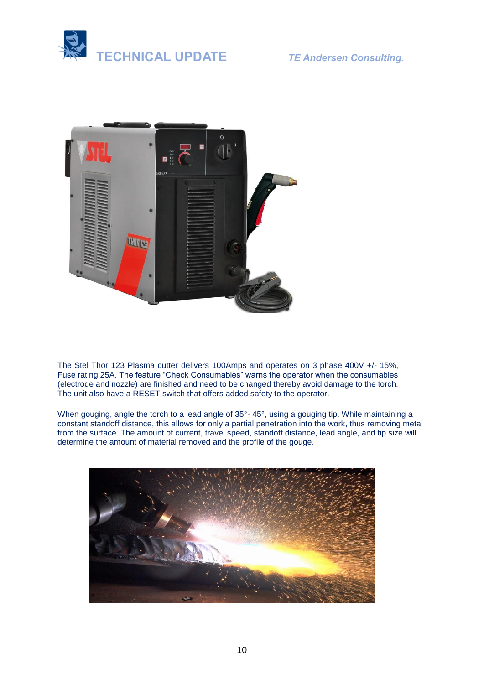



The Stel Thor 123 Plasma cutter delivers 100Amps and operates on 3 phase 400V +/- 15%, Fuse rating 25A. The feature "Check Consumables" warns the operator when the consumables (electrode and nozzle) are finished and need to be changed thereby avoid damage to the torch. The unit also have a RESET switch that offers added safety to the operator.

When gouging, angle the torch to a lead angle of 35°-45°, using a gouging tip. While maintaining a constant standoff distance, this allows for only a partial penetration into the work, thus removing metal from the surface. The amount of current, travel speed, standoff distance, lead angle, and tip size will determine the amount of material removed and the profile of the gouge.

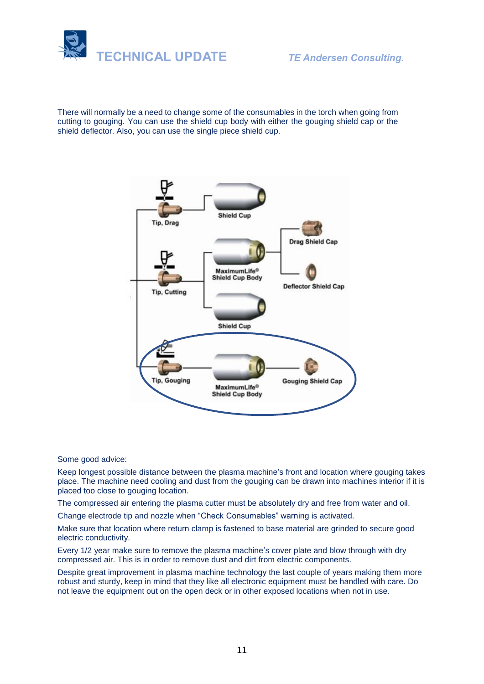



There will normally be a need to change some of the consumables in the torch when going from cutting to gouging. You can use the shield cup body with either the gouging shield cap or the shield deflector. Also, you can use the single piece shield cup.



Some good advice:

Keep longest possible distance between the plasma machine's front and location where gouging takes place. The machine need cooling and dust from the gouging can be drawn into machines interior if it is placed too close to gouging location.

The compressed air entering the plasma cutter must be absolutely dry and free from water and oil.

Change electrode tip and nozzle when "Check Consumables" warning is activated.

Make sure that location where return clamp is fastened to base material are grinded to secure good electric conductivity.

Every 1/2 year make sure to remove the plasma machine's cover plate and blow through with dry compressed air. This is in order to remove dust and dirt from electric components.

Despite great improvement in plasma machine technology the last couple of years making them more robust and sturdy, keep in mind that they like all electronic equipment must be handled with care. Do not leave the equipment out on the open deck or in other exposed locations when not in use.